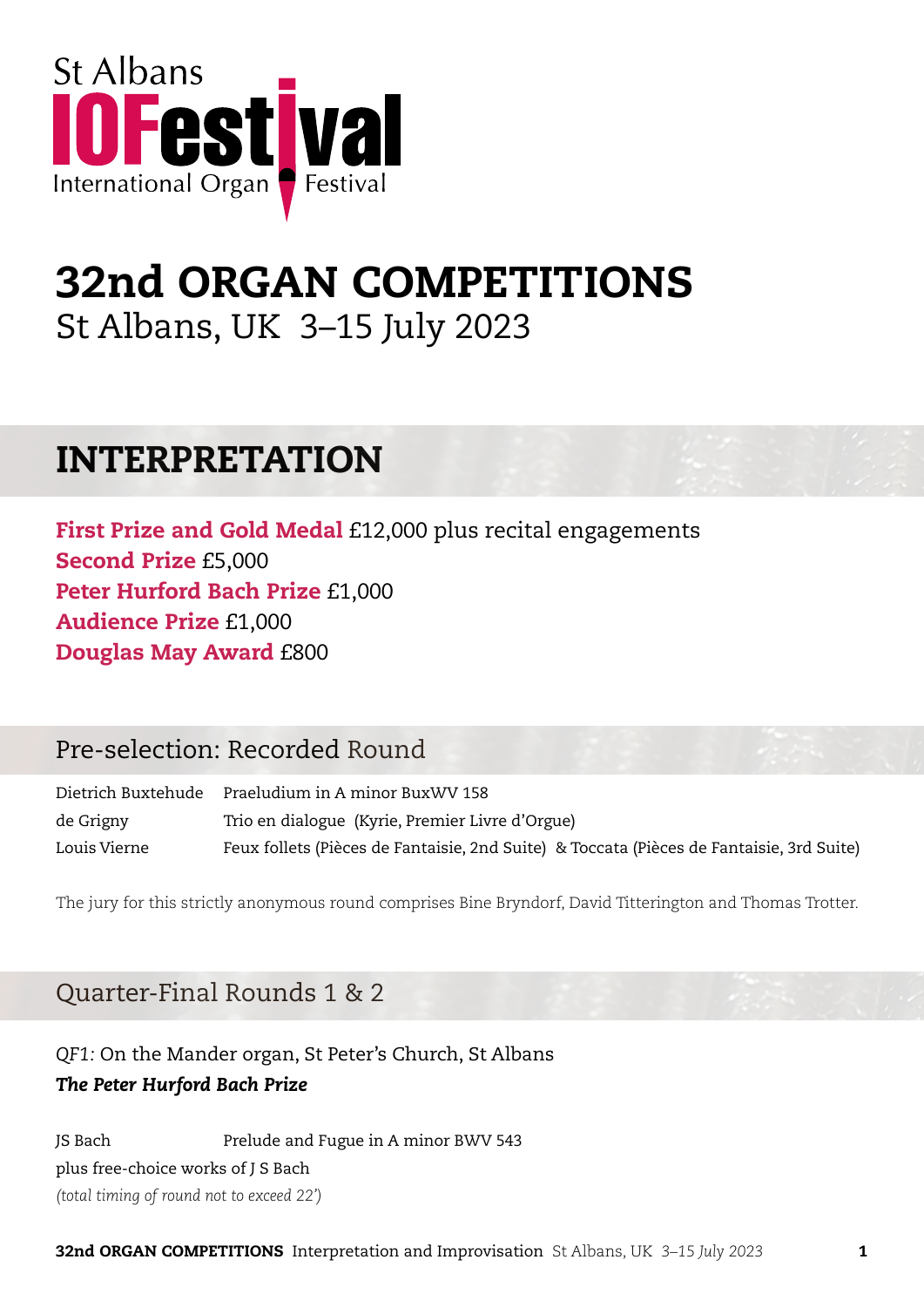

# 32nd ORGAN COMPETITIONS St Albans, UK 3–15 July 2023

## INTERPRETATION

First Prize and Gold Medal £12,000 plus recital engagements Second Prize £5,000 Peter Hurford Bach Prize £1,000 Audience Prize £1,000 Douglas May Award £800

## Pre-selection: Recorded Round

Dietrich Buxtehude Praeludium in A minor BuxWV 158 de Grigny Trio en dialogue (Kyrie, Premier Livre d'Orgue) Louis Vierne Feux follets (Pièces de Fantaisie, 2nd Suite) & Toccata (Pièces de Fantaisie, 3rd Suite)

The jury for this strictly anonymous round comprises Bine Bryndorf, David Titterington and Thomas Trotter.

## Quarter-Final Rounds 1 & 2

*QF1:* On the Mander organ, St Peter's Church, St Albans *The Peter Hurford Bach Prize*

JS Bach Prelude and Fugue in A minor BWV 543 plus free-choice works of J S Bach *(total timing of round not to exceed 22')*